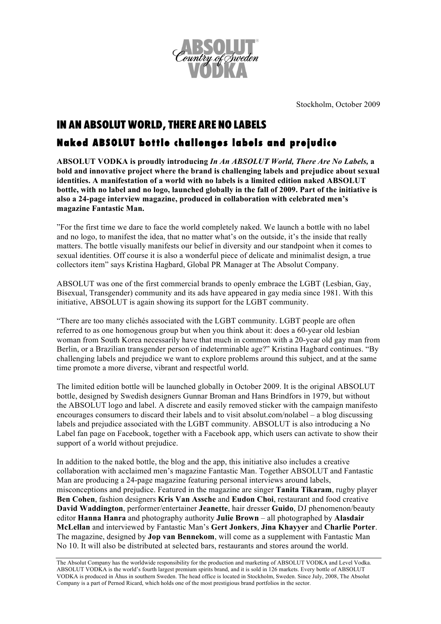

Stockholm, October 2009

## IN AN ABSOLUT WORLD, THERE ARE NO LABELS

## Naked ABSOLUT bottle challenges labels and prejudice

**ABSOLUT VODKA is proudly introducing** *In An ABSOLUT World, There Are No Labels,* **a bold and innovative project where the brand is challenging labels and prejudice about sexual identities. A manifestation of a world with no labels is a limited edition naked ABSOLUT bottle, with no label and no logo, launched globally in the fall of 2009. Part of the initiative is also a 24-page interview magazine, produced in collaboration with celebrated men's magazine Fantastic Man.**

"For the first time we dare to face the world completely naked. We launch a bottle with no label and no logo, to manifest the idea, that no matter what's on the outside, it's the inside that really matters. The bottle visually manifests our belief in diversity and our standpoint when it comes to sexual identities. Off course it is also a wonderful piece of delicate and minimalist design, a true collectors item" says Kristina Hagbard, Global PR Manager at The Absolut Company.

ABSOLUT was one of the first commercial brands to openly embrace the LGBT (Lesbian, Gay, Bisexual, Transgender) community and its ads have appeared in gay media since 1981. With this initiative, ABSOLUT is again showing its support for the LGBT community.

"There are too many clichés associated with the LGBT community. LGBT people are often referred to as one homogenous group but when you think about it: does a 60-year old lesbian woman from South Korea necessarily have that much in common with a 20-year old gay man from Berlin, or a Brazilian transgender person of indeterminable age?" Kristina Hagbard continues. "By challenging labels and prejudice we want to explore problems around this subject, and at the same time promote a more diverse, vibrant and respectful world.

The limited edition bottle will be launched globally in October 2009. It is the original ABSOLUT bottle, designed by Swedish designers Gunnar Broman and Hans Brindfors in 1979, but without the ABSOLUT logo and label. A discrete and easily removed sticker with the campaign manifesto encourages consumers to discard their labels and to visit absolut.com/nolabel – a blog discussing labels and prejudice associated with the LGBT community. ABSOLUT is also introducing a No Label fan page on Facebook, together with a Facebook app, which users can activate to show their support of a world without prejudice.

In addition to the naked bottle, the blog and the app, this initiative also includes a creative collaboration with acclaimed men's magazine Fantastic Man. Together ABSOLUT and Fantastic Man are producing a 24-page magazine featuring personal interviews around labels, misconceptions and prejudice. Featured in the magazine are singer **Tanita Tikaram**, rugby player **Ben Cohen**, fashion designers **Kris Van Assche** and **Eudon Choi**, restaurant and food creative **David Waddington**, performer/entertainer **Jeanette**, hair dresser **Guido**, DJ phenomenon/beauty editor **Hanna Hanra** and photography authority **Julie Brown** – all photographed by **Alasdair McLellan** and interviewed by Fantastic Man's **Gert Jonkers**, **Jina Khayyer** and **Charlie Porter**. The magazine, designed by **Jop van Bennekom**, will come as a supplement with Fantastic Man No 10. It will also be distributed at selected bars, restaurants and stores around the world.

The Absolut Company has the worldwide responsibility for the production and marketing of ABSOLUT VODKA and Level Vodka. ABSOLUT VODKA is the world's fourth largest premium spirits brand, and it is sold in 126 markets. Every bottle of ABSOLUT VODKA is produced in Åhus in southern Sweden. The head office is located in Stockholm, Sweden. Since July, 2008, The Absolut Company is a part of Pernod Ricard, which holds one of the most prestigious brand portfolios in the sector.